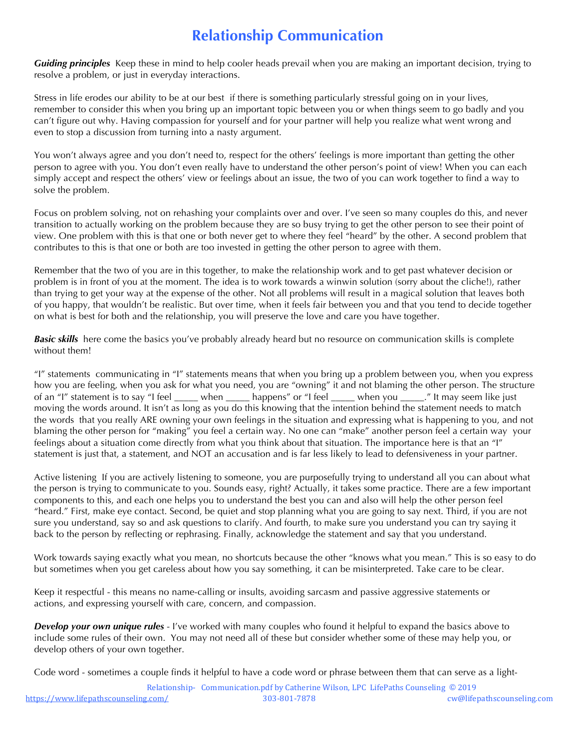## **Relationship Communication**

*Guiding principles* Keep these in mind to help cooler heads prevail when you are making an important decision, trying to resolve a problem, or just in everyday interactions.

Stress in life erodes our ability to be at our best if there is something particularly stressful going on in your lives, remember to consider this when you bring up an important topic between you or when things seem to go badly and you can't figure out why. Having compassion for yourself and for your partner will help you realize what went wrong and even to stop a discussion from turning into a nasty argument.

You won't always agree and you don't need to, respect for the others' feelings is more important than getting the other person to agree with you. You don't even really have to understand the other person's point of view! When you can each simply accept and respect the others' view or feelings about an issue, the two of you can work together to find a way to solve the problem.

Focus on problem solving, not on rehashing your complaints over and over. I've seen so many couples do this, and never transition to actually working on the problem because they are so busy trying to get the other person to see their point of view. One problem with this is that one or both never get to where they feel "heard" by the other. A second problem that contributes to this is that one or both are too invested in getting the other person to agree with them.

Remember that the two of you are in this together, to make the relationship work and to get past whatever decision or problem is in front of you at the moment. The idea is to work towards a winwin solution (sorry about the cliche!), rather than trying to get your way at the expense of the other. Not all problems will result in a magical solution that leaves both of you happy, that wouldn't be realistic. But over time, when it feels fair between you and that you tend to decide together on what is best for both and the relationship, you will preserve the love and care you have together.

*Basic skills* here come the basics you've probably already heard but no resource on communication skills is complete without them!

"I" statements communicating in "I" statements means that when you bring up a problem between you, when you express how you are feeling, when you ask for what you need, you are "owning" it and not blaming the other person. The structure of an "I" statement is to say "I feel \_\_\_\_\_ when \_\_\_\_\_ happens" or "I feel \_\_\_\_\_ when you \_\_\_\_\_." It may seem like just moving the words around. It isn't as long as you do this knowing that the intention behind the statement needs to match the words that you really ARE owning your own feelings in the situation and expressing what is happening to you, and not blaming the other person for "making" you feel a certain way. No one can "make" another person feel a certain way your feelings about a situation come directly from what you think about that situation. The importance here is that an "I" statement is just that, a statement, and NOT an accusation and is far less likely to lead to defensiveness in your partner.

Active listening If you are actively listening to someone, you are purposefully trying to understand all you can about what the person is trying to communicate to you. Sounds easy, right? Actually, it takes some practice. There are a few important components to this, and each one helps you to understand the best you can and also will help the other person feel "heard." First, make eye contact. Second, be quiet and stop planning what you are going to say next. Third, if you are not sure you understand, say so and ask questions to clarify. And fourth, to make sure you understand you can try saying it back to the person by reflecting or rephrasing. Finally, acknowledge the statement and say that you understand.

Work towards saying exactly what you mean, no shortcuts because the other "knows what you mean." This is so easy to do but sometimes when you get careless about how you say something, it can be misinterpreted. Take care to be clear.

Keep it respectful - this means no name-calling or insults, avoiding sarcasm and passive aggressive statements or actions, and expressing yourself with care, concern, and compassion.

*Develop your own unique rules* - I've worked with many couples who found it helpful to expand the basics above to include some rules of their own. You may not need all of these but consider whether some of these may help you, or develop others of your own together.

Code word - sometimes a couple finds it helpful to have a code word or phrase between them that can serve as a light-